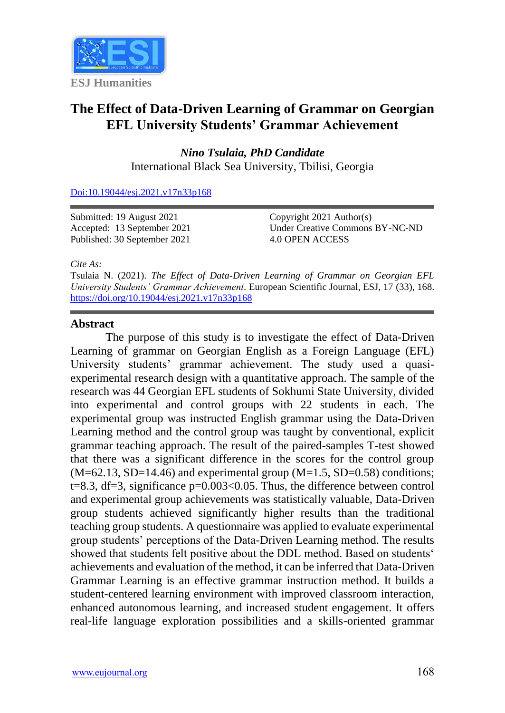

## **The Effect of Data-Driven Learning of Grammar on Georgian EFL University Students' Grammar Achievement**

*Nino Tsulaia, PhD Candidate* International Black Sea University, Tbilisi, Georgia

[Doi:10.19044/esj.2021.v17n33p168](https://doi.org/10.19044/esj.2021.v17n33p168)

Submitted: 19 August 2021 Accepted: 13 September 2021 Published: 30 September 2021

Copyright 2021 Author(s) Under Creative Commons BY-NC-ND 4.0 OPEN ACCESS

*Cite As:*

Tsulaia N. (2021). *The Effect of Data-Driven Learning of Grammar on Georgian EFL University Students' Grammar Achievement.* European Scientific Journal, ESJ, 17 (33), 168. <https://doi.org/10.19044/esj.2021.v17n33p168>

## **Abstract**

The purpose of this study is to investigate the effect of Data-Driven Learning of grammar on Georgian English as a Foreign Language (EFL) University students' grammar achievement. The study used a quasiexperimental research design with a quantitative approach. The sample of the research was 44 Georgian EFL students of Sokhumi State University, divided into experimental and control groups with 22 students in each. The experimental group was instructed English grammar using the Data-Driven Learning method and the control group was taught by conventional, explicit grammar teaching approach. The result of the paired-samples T-test showed that there was a significant difference in the scores for the control group  $(M=62.13, SD=14.46)$  and experimental group  $(M=1.5, SD=0.58)$  conditions; t=8.3, df=3, significance p=0.003<0.05. Thus, the difference between control and experimental group achievements was statistically valuable, Data-Driven group students achieved significantly higher results than the traditional teaching group students. A questionnaire was applied to evaluate experimental group students' perceptions of the Data-Driven Learning method. The results showed that students felt positive about the DDL method. Based on students' achievements and evaluation of the method, it can be inferred that Data-Driven Grammar Learning is an effective grammar instruction method. It builds a student-centered learning environment with improved classroom interaction, enhanced autonomous learning, and increased student engagement. It offers real-life language exploration possibilities and a skills-oriented grammar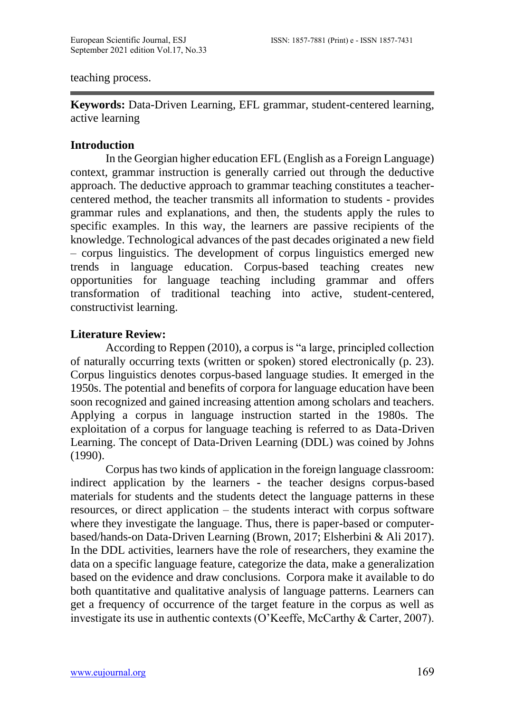teaching process.

**Keywords:** Data-Driven Learning, EFL grammar, student-centered learning, active learning

#### **Introduction**

In the Georgian higher education EFL (English as a Foreign Language) context, grammar instruction is generally carried out through the deductive approach. The deductive approach to grammar teaching constitutes a teachercentered method, the teacher transmits all information to students - provides grammar rules and explanations, and then, the students apply the rules to specific examples. In this way, the learners are passive recipients of the knowledge. Technological advances of the past decades originated a new field – corpus linguistics. The development of corpus linguistics emerged new trends in language education. Corpus-based teaching creates new opportunities for language teaching including grammar and offers transformation of traditional teaching into active, student-centered, constructivist learning.

## **Literature Review:**

According to Reppen (2010), a corpus is "a large, principled collection of naturally occurring texts (written or spoken) stored electronically (p. 23). Corpus linguistics denotes corpus-based language studies. It emerged in the 1950s. The potential and benefits of corpora for language education have been soon recognized and gained increasing attention among scholars and teachers. Applying a corpus in language instruction started in the 1980s. The exploitation of a corpus for language teaching is referred to as Data-Driven Learning. The concept of Data-Driven Learning (DDL) was coined by Johns (1990).

Corpus has two kinds of application in the foreign language classroom: indirect application by the learners - the teacher designs corpus-based materials for students and the students detect the language patterns in these resources, or direct application – the students interact with corpus software where they investigate the language. Thus, there is paper-based or computerbased/hands-on Data-Driven Learning (Brown, 2017; Elsherbini & Ali 2017). In the DDL activities, learners have the role of researchers, they examine the data on a specific language feature, categorize the data, make a generalization based on the evidence and draw conclusions. Corpora make it available to do both quantitative and qualitative analysis of language patterns. Learners can get a frequency of occurrence of the target feature in the corpus as well as investigate its use in authentic contexts (O'Keeffe, McCarthy & Carter, 2007).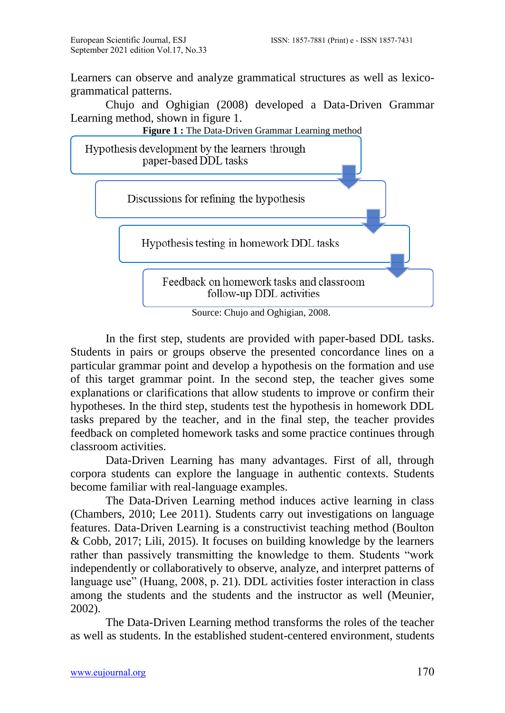Learners can observe and analyze grammatical structures as well as lexicogrammatical patterns.

Chujo and Oghigian (2008) developed a Data-Driven Grammar Learning method, shown in figure 1.



Source: Chujo and Oghigian, 2008.

In the first step, students are provided with paper-based DDL tasks. Students in pairs or groups observe the presented concordance lines on a particular grammar point and develop a hypothesis on the formation and use of this target grammar point. In the second step, the teacher gives some explanations or clarifications that allow students to improve or confirm their hypotheses. In the third step, students test the hypothesis in homework DDL tasks prepared by the teacher, and in the final step, the teacher provides feedback on completed homework tasks and some practice continues through classroom activities.

Data-Driven Learning has many advantages. First of all, through corpora students can explore the language in authentic contexts. Students become familiar with real-language examples.

The Data-Driven Learning method induces active learning in class (Chambers, 2010; Lee 2011). Students carry out investigations on language features. Data-Driven Learning is a constructivist teaching method (Boulton & Cobb, 2017; Lili, 2015). It focuses on building knowledge by the learners rather than passively transmitting the knowledge to them. Students "work independently or collaboratively to observe, analyze, and interpret patterns of language use" (Huang, 2008, p. 21). DDL activities foster interaction in class among the students and the students and the instructor as well (Meunier, 2002).

The Data-Driven Learning method transforms the roles of the teacher as well as students. In the established student-centered environment, students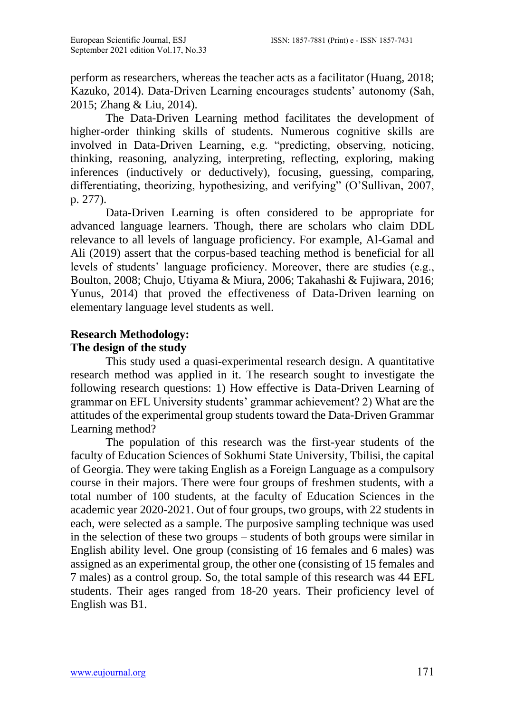perform as researchers, whereas the teacher acts as a facilitator (Huang, 2018; Kazuko, 2014). Data-Driven Learning encourages students' autonomy (Sah, 2015; Zhang & Liu, 2014).

The Data-Driven Learning method facilitates the development of higher-order thinking skills of students. Numerous cognitive skills are involved in Data-Driven Learning, e.g. "predicting, observing, noticing, thinking, reasoning, analyzing, interpreting, reflecting, exploring, making inferences (inductively or deductively), focusing, guessing, comparing, differentiating, theorizing, hypothesizing, and verifying" (O'Sullivan, 2007, p. 277).

Data-Driven Learning is often considered to be appropriate for advanced language learners. Though, there are scholars who claim DDL relevance to all levels of language proficiency. For example, Al-Gamal and Ali (2019) assert that the corpus-based teaching method is beneficial for all levels of students' language proficiency. Moreover, there are studies (e.g., Boulton, 2008; Chujo, Utiyama & Miura, 2006; Takahashi & Fujiwara, 2016; Yunus, 2014) that proved the effectiveness of Data-Driven learning on elementary language level students as well.

# **Research Methodology:**

## **The design of the study**

This study used a quasi-experimental research design. A quantitative research method was applied in it. The research sought to investigate the following research questions: 1) How effective is Data-Driven Learning of grammar on EFL University students' grammar achievement? 2) What are the attitudes of the experimental group students toward the Data-Driven Grammar Learning method?

The population of this research was the first-year students of the faculty of Education Sciences of Sokhumi State University, Tbilisi, the capital of Georgia. They were taking English as a Foreign Language as a compulsory course in their majors. There were four groups of freshmen students, with a total number of 100 students, at the faculty of Education Sciences in the academic year 2020-2021. Out of four groups, two groups, with 22 students in each, were selected as a sample. The purposive sampling technique was used in the selection of these two groups – students of both groups were similar in English ability level. One group (consisting of 16 females and 6 males) was assigned as an experimental group, the other one (consisting of 15 females and 7 males) as a control group. So, the total sample of this research was 44 EFL students. Their ages ranged from 18-20 years. Their proficiency level of English was B1.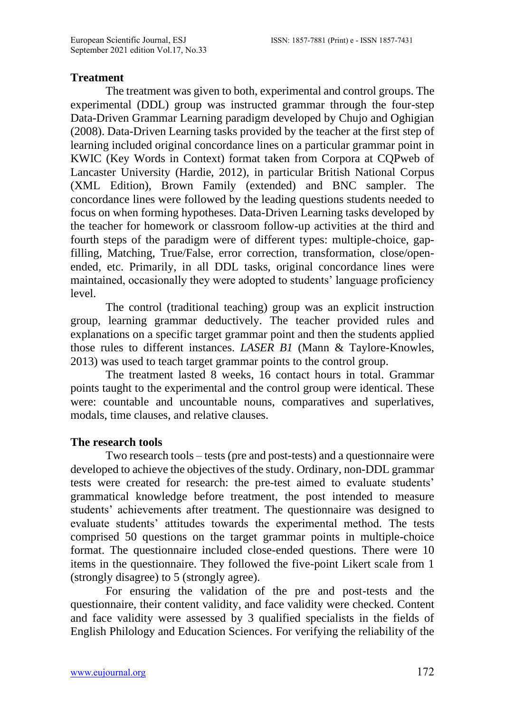#### **Treatment**

The treatment was given to both, experimental and control groups. The experimental (DDL) group was instructed grammar through the four-step Data-Driven Grammar Learning paradigm developed by Chujo and Oghigian (2008). Data-Driven Learning tasks provided by the teacher at the first step of learning included original concordance lines on a particular grammar point in KWIC (Key Words in Context) format taken from Corpora at CQPweb of Lancaster University (Hardie, 2012), in particular British National Corpus (XML Edition), Brown Family (extended) and BNC sampler. The concordance lines were followed by the leading questions students needed to focus on when forming hypotheses. Data-Driven Learning tasks developed by the teacher for homework or classroom follow-up activities at the third and fourth steps of the paradigm were of different types: multiple-choice, gapfilling, Matching, True/False, error correction, transformation, close/openended, etc. Primarily, in all DDL tasks, original concordance lines were maintained, occasionally they were adopted to students' language proficiency level.

The control (traditional teaching) group was an explicit instruction group, learning grammar deductively. The teacher provided rules and explanations on a specific target grammar point and then the students applied those rules to different instances. *LASER B1* (Mann & Taylore-Knowles, 2013) was used to teach target grammar points to the control group.

The treatment lasted 8 weeks, 16 contact hours in total. Grammar points taught to the experimental and the control group were identical. These were: countable and uncountable nouns, comparatives and superlatives, modals, time clauses, and relative clauses.

#### **The research tools**

Two research tools – tests (pre and post-tests) and a questionnaire were developed to achieve the objectives of the study. Ordinary, non-DDL grammar tests were created for research: the pre-test aimed to evaluate students' grammatical knowledge before treatment, the post intended to measure students' achievements after treatment. The questionnaire was designed to evaluate students' attitudes towards the experimental method. The tests comprised 50 questions on the target grammar points in multiple-choice format. The questionnaire included close-ended questions. There were 10 items in the questionnaire. They followed the five-point Likert scale from 1 (strongly disagree) to 5 (strongly agree).

For ensuring the validation of the pre and post-tests and the questionnaire, their content validity, and face validity were checked. Content and face validity were assessed by 3 qualified specialists in the fields of English Philology and Education Sciences. For verifying the reliability of the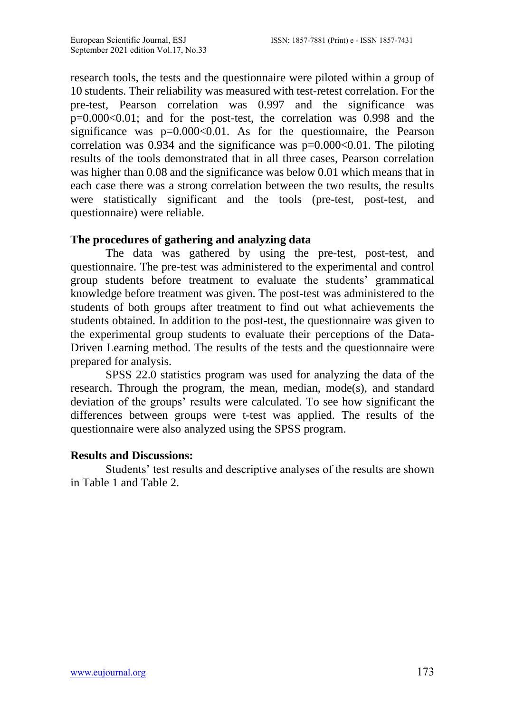research tools, the tests and the questionnaire were piloted within a group of 10 students. Their reliability was measured with test-retest correlation. For the pre-test, Pearson correlation was 0.997 and the significance was p=0.000<0.01; and for the post-test, the correlation was 0.998 and the significance was  $p=0.000<0.01$ . As for the questionnaire, the Pearson correlation was  $0.934$  and the significance was  $p=0.000<0.01$ . The piloting results of the tools demonstrated that in all three cases, Pearson correlation was higher than 0.08 and the significance was below 0.01 which means that in each case there was a strong correlation between the two results, the results were statistically significant and the tools (pre-test, post-test, and questionnaire) were reliable.

## **The procedures of gathering and analyzing data**

The data was gathered by using the pre-test, post-test, and questionnaire. The pre-test was administered to the experimental and control group students before treatment to evaluate the students' grammatical knowledge before treatment was given. The post-test was administered to the students of both groups after treatment to find out what achievements the students obtained. In addition to the post-test, the questionnaire was given to the experimental group students to evaluate their perceptions of the Data-Driven Learning method. The results of the tests and the questionnaire were prepared for analysis.

SPSS 22.0 statistics program was used for analyzing the data of the research. Through the program, the mean, median, mode(s), and standard deviation of the groups' results were calculated. To see how significant the differences between groups were t-test was applied. The results of the questionnaire were also analyzed using the SPSS program.

## **Results and Discussions:**

Students' test results and descriptive analyses of the results are shown in Table 1 and Table 2.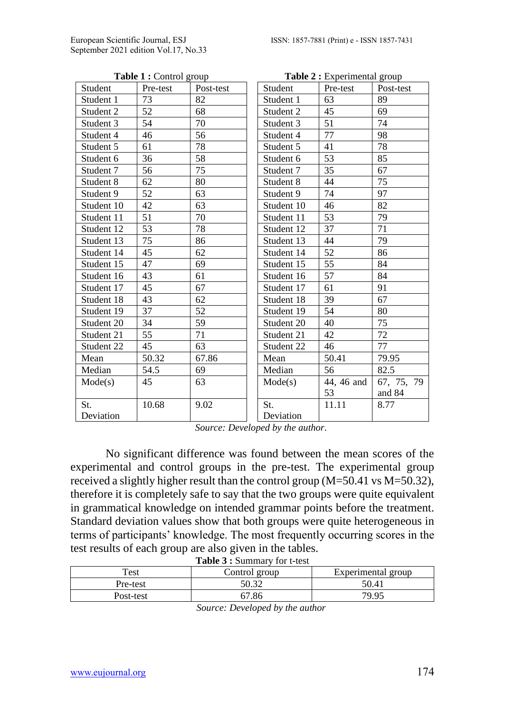| Table 1 : Control group |          |           | Table 2 : Experimental group |            |            |  |
|-------------------------|----------|-----------|------------------------------|------------|------------|--|
| Student                 | Pre-test | Post-test | Student                      | Pre-test   | Post-test  |  |
| Student 1               | 73       | 82        | Student 1                    | 63         | 89         |  |
| Student 2               | 52       | 68        | Student 2                    | 45         | 69         |  |
| Student 3               | 54       | 70        | Student 3                    | 51         | 74         |  |
| Student 4               | 46       | 56        | Student 4                    | 77         | 98         |  |
| Student 5               | 61       | 78        | Student 5                    | 41         | 78         |  |
| Student 6               | 36       | 58        | Student 6                    | 53         | 85         |  |
| Student 7               | 56       | 75        | Student 7                    | 35         | 67         |  |
| Student 8               | 62       | 80        | Student 8                    | 44         | 75         |  |
| Student 9               | 52       | 63        | Student 9                    | 74         | 97         |  |
| Student 10              | 42       | 63        | Student 10                   | 46         | 82         |  |
| Student 11              | 51       | 70        | Student 11                   | 53         | 79         |  |
| Student 12              | 53       | 78        | Student 12                   | 37         | 71         |  |
| Student 13              | 75       | 86        | Student 13                   | 44         | 79         |  |
| Student 14              | 45       | 62        | Student 14                   | 52         | 86         |  |
| Student 15              | 47       | 69        | Student 15                   | 55         | 84         |  |
| Student 16              | 43       | 61        | Student 16                   | 57         | 84         |  |
| Student 17              | 45       | 67        | Student 17                   | 61         | 91         |  |
| Student 18              | 43       | 62        | Student 18                   | 39         | 67         |  |
| Student 19              | 37       | 52        | Student 19                   | 54         | 80         |  |
| Student 20              | 34       | 59        | Student 20                   | 40         | 75         |  |
| Student 21              | 55       | 71        | Student 21                   | 42         | 72         |  |
| Student 22              | 45       | 63        | Student 22                   | 46         | 77         |  |
| Mean                    | 50.32    | 67.86     | Mean                         | 50.41      | 79.95      |  |
| Median                  | 54.5     | 69        | Median                       | 56         | 82.5       |  |
| Mode(s)                 | 45       | 63        | Mode(s)                      | 44, 46 and | 67, 75, 79 |  |
|                         |          |           |                              | 53         | and 84     |  |
| St.                     | 10.68    | 9.02      | St.                          | 11.11      | 8.77       |  |
| Deviation               |          |           | Deviation                    |            |            |  |

**Table 1 :** Control group

*Source: Developed by the author.*

No significant difference was found between the mean scores of the experimental and control groups in the pre-test. The experimental group received a slightly higher result than the control group (M=50.41 vs M=50.32), therefore it is completely safe to say that the two groups were quite equivalent in grammatical knowledge on intended grammar points before the treatment. Standard deviation values show that both groups were quite heterogeneous in terms of participants' knowledge. The most frequently occurring scores in the test results of each group are also given in the tables. **Table 3 :** Summary for t-test

| Test      | Control group | Experimental group |
|-----------|---------------|--------------------|
| Pre-test  | 50.32         | 50.41              |
| Post-test | 57.86         | 79.95              |

*Source: Developed by the author*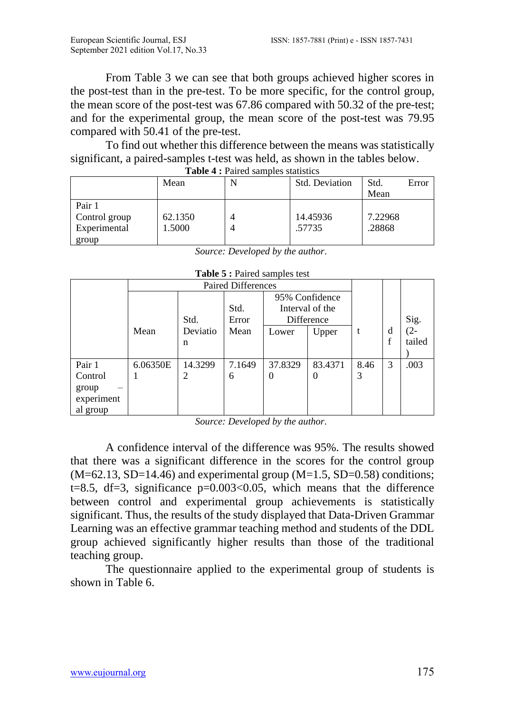From Table 3 we can see that both groups achieved higher scores in the post-test than in the pre-test. To be more specific, for the control group, the mean score of the post-test was 67.86 compared with 50.32 of the pre-test; and for the experimental group, the mean score of the post-test was 79.95 compared with 50.41 of the pre-test.

To find out whether this difference between the means was statistically significant, a paired-samples t-test was held, as shown in the tables below.

|                                                  | Mean              | $\frac{1}{2}$ and $\frac{1}{2}$ and $\frac{1}{2}$ sumples statistics | <b>Std. Deviation</b> | Std.<br>Mean      | Error |
|--------------------------------------------------|-------------------|----------------------------------------------------------------------|-----------------------|-------------------|-------|
| Pair 1<br>Control group<br>Experimental<br>group | 62.1350<br>1.5000 |                                                                      | 14.45936<br>.57735    | 7.22968<br>.28868 |       |

| Table 4 : Paired samples statistics |  |
|-------------------------------------|--|

*Source: Developed by the author.*

| <b>rapic <math>\sigma</math>.</b> Fanca samples test |                           |          |        |                |                 |      |   |        |
|------------------------------------------------------|---------------------------|----------|--------|----------------|-----------------|------|---|--------|
|                                                      | <b>Paired Differences</b> |          |        |                |                 |      |   |        |
|                                                      |                           |          |        | 95% Confidence |                 |      |   |        |
|                                                      |                           |          | Std.   |                | Interval of the |      |   |        |
|                                                      |                           | Std.     | Error  |                | Difference      |      |   | Sig.   |
|                                                      | Mean                      | Deviatio | Mean   | Lower          | Upper           |      | d | $(2 -$ |
|                                                      |                           | n        |        |                |                 |      | f | tailed |
|                                                      |                           |          |        |                |                 |      |   |        |
| Pair 1                                               | 6.06350E                  | 14.3299  | 7.1649 | 37.8329        | 83.4371         | 8.46 | 3 | .003   |
| Control                                              |                           | 2        | 6      | 0              | $\theta$        | 3    |   |        |
| group<br>-                                           |                           |          |        |                |                 |      |   |        |
| experiment                                           |                           |          |        |                |                 |      |   |        |
| al group                                             |                           |          |        |                |                 |      |   |        |

|  |  |  | Table 5 : Paired samples test |  |
|--|--|--|-------------------------------|--|
|--|--|--|-------------------------------|--|

*Source: Developed by the author.*

A confidence interval of the difference was 95%. The results showed that there was a significant difference in the scores for the control group  $(M=62.13, SD=14.46)$  and experimental group  $(M=1.5, SD=0.58)$  conditions; t=8.5, df=3, significance  $p=0.003<0.05$ , which means that the difference between control and experimental group achievements is statistically significant. Thus, the results of the study displayed that Data-Driven Grammar Learning was an effective grammar teaching method and students of the DDL group achieved significantly higher results than those of the traditional teaching group.

The questionnaire applied to the experimental group of students is shown in Table 6.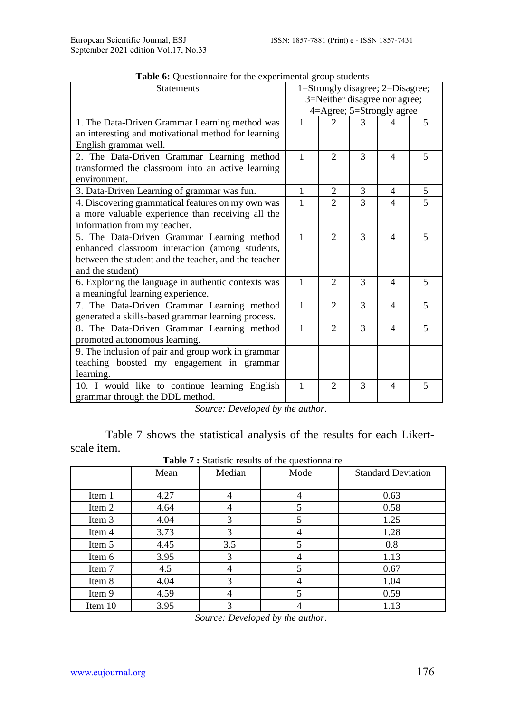| <b>Tuble of Questionnant</b> for the experimental group stationts<br><b>Statements</b> | 1=Strongly disagree; 2=Disagree; |                        |               |                          |                |
|----------------------------------------------------------------------------------------|----------------------------------|------------------------|---------------|--------------------------|----------------|
|                                                                                        | 3=Neither disagree nor agree;    |                        |               |                          |                |
|                                                                                        | 4=Agree; 5=Strongly agree        |                        |               |                          |                |
| 1. The Data-Driven Grammar Learning method was                                         | 1                                |                        |               |                          | 5              |
| an interesting and motivational method for learning                                    |                                  |                        |               |                          |                |
| English grammar well.                                                                  |                                  |                        |               |                          |                |
| 2. The Data-Driven Grammar Learning method                                             | 1                                | $\mathfrak{D}$         | 3             | $\overline{\mathcal{A}}$ | 5              |
| transformed the classroom into an active learning                                      |                                  |                        |               |                          |                |
| environment.                                                                           |                                  |                        |               |                          |                |
| 3. Data-Driven Learning of grammar was fun.                                            | $\mathbf{1}$                     | $\overline{2}$         | 3             | $\overline{4}$           | 5              |
| 4. Discovering grammatical features on my own was                                      | 1                                | $\mathcal{D}_{\alpha}$ | $\mathcal{R}$ | 4                        | $\overline{5}$ |
| a more valuable experience than receiving all the                                      |                                  |                        |               |                          |                |
| information from my teacher.                                                           |                                  |                        |               |                          |                |
| 5. The Data-Driven Grammar Learning method                                             | 1                                | $\mathfrak{D}$         | 3             | $\overline{\mathcal{A}}$ | 5              |
| enhanced classroom interaction (among students,                                        |                                  |                        |               |                          |                |
| between the student and the teacher, and the teacher                                   |                                  |                        |               |                          |                |
| and the student)                                                                       |                                  |                        |               |                          |                |
| 6. Exploring the language in authentic contexts was                                    | 1                                | $\mathfrak{D}$         | $\mathcal{E}$ | $\overline{\mathcal{A}}$ | 5              |
| a meaningful learning experience.                                                      |                                  |                        |               |                          |                |
| 7. The Data-Driven Grammar Learning method                                             | 1                                | $\mathfrak{D}$         | 3             | $\overline{4}$           | 5              |
| generated a skills-based grammar learning process.                                     |                                  |                        |               |                          |                |
| 8. The Data-Driven Grammar Learning method                                             | 1                                | $\mathfrak{D}$         | 3             | $\overline{\mathcal{A}}$ | 5              |
| promoted autonomous learning.                                                          |                                  |                        |               |                          |                |
| 9. The inclusion of pair and group work in grammar                                     |                                  |                        |               |                          |                |
| teaching boosted my engagement in grammar                                              |                                  |                        |               |                          |                |
| learning.                                                                              |                                  |                        |               |                          |                |
| 10. I would like to continue learning English                                          | 1                                | $\mathfrak{D}$         | $\mathcal{E}$ | $\overline{\mathcal{A}}$ | 5              |
| grammar through the DDL method.                                                        |                                  |                        |               |                          |                |

**Table 6:** Questionnaire for the experimental group students

*Source: Developed by the author.*

Table 7 shows the statistical analysis of the results for each Likertscale item.

**Table 7 :** Statistic results of the questionnaire

|         |      |        | $-$  |                           |
|---------|------|--------|------|---------------------------|
|         | Mean | Median | Mode | <b>Standard Deviation</b> |
|         |      |        |      |                           |
| Item 1  | 4.27 | 4      | 4    | 0.63                      |
| Item 2  | 4.64 | 4      | 5    | 0.58                      |
| Item 3  | 4.04 | 3      | 5    | 1.25                      |
| Item 4  | 3.73 | 3      | 4    | 1.28                      |
| Item 5  | 4.45 | 3.5    | 5    | 0.8                       |
| Item 6  | 3.95 | 3      | 4    | 1.13                      |
| Item 7  | 4.5  |        | 5    | 0.67                      |
| Item 8  | 4.04 | 3      | 4    | 1.04                      |
| Item 9  | 4.59 | 4      | 5    | 0.59                      |
| Item 10 | 3.95 | 3      |      | 1.13                      |

*Source: Developed by the author.*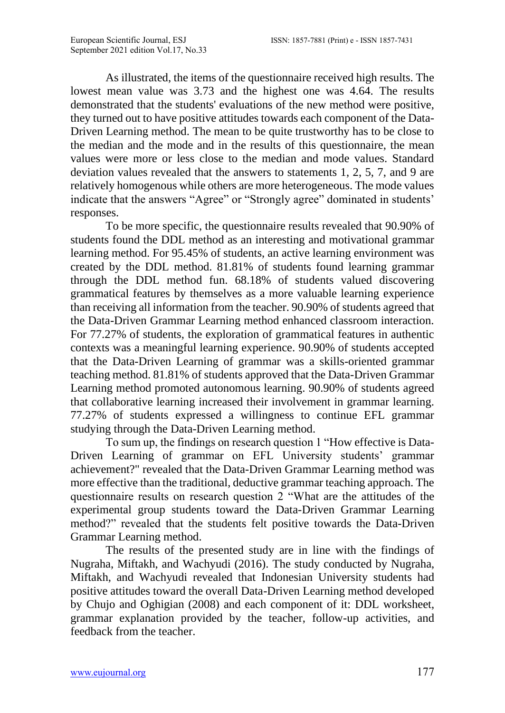As illustrated, the items of the questionnaire received high results. The lowest mean value was 3.73 and the highest one was 4.64. The results demonstrated that the students' evaluations of the new method were positive, they turned out to have positive attitudes towards each component of the Data-Driven Learning method. The mean to be quite trustworthy has to be close to the median and the mode and in the results of this questionnaire, the mean values were more or less close to the median and mode values. Standard deviation values revealed that the answers to statements 1, 2, 5, 7, and 9 are relatively homogenous while others are more heterogeneous. The mode values indicate that the answers "Agree" or "Strongly agree" dominated in students' responses.

To be more specific, the questionnaire results revealed that 90.90% of students found the DDL method as an interesting and motivational grammar learning method. For 95.45% of students, an active learning environment was created by the DDL method. 81.81% of students found learning grammar through the DDL method fun. 68.18% of students valued discovering grammatical features by themselves as a more valuable learning experience than receiving all information from the teacher. 90.90% of students agreed that the Data-Driven Grammar Learning method enhanced classroom interaction. For 77.27% of students, the exploration of grammatical features in authentic contexts was a meaningful learning experience. 90.90% of students accepted that the Data-Driven Learning of grammar was a skills-oriented grammar teaching method. 81.81% of students approved that the Data-Driven Grammar Learning method promoted autonomous learning. 90.90% of students agreed that collaborative learning increased their involvement in grammar learning. 77.27% of students expressed a willingness to continue EFL grammar studying through the Data-Driven Learning method.

To sum up, the findings on research question 1 "How effective is Data-Driven Learning of grammar on EFL University students' grammar achievement?" revealed that the Data-Driven Grammar Learning method was more effective than the traditional, deductive grammar teaching approach. The questionnaire results on research question 2 "What are the attitudes of the experimental group students toward the Data-Driven Grammar Learning method?" revealed that the students felt positive towards the Data-Driven Grammar Learning method.

The results of the presented study are in line with the findings of Nugraha, Miftakh, and Wachyudi (2016). The study conducted by Nugraha, Miftakh, and Wachyudi revealed that Indonesian University students had positive attitudes toward the overall Data-Driven Learning method developed by Chujo and Oghigian (2008) and each component of it: DDL worksheet, grammar explanation provided by the teacher, follow-up activities, and feedback from the teacher.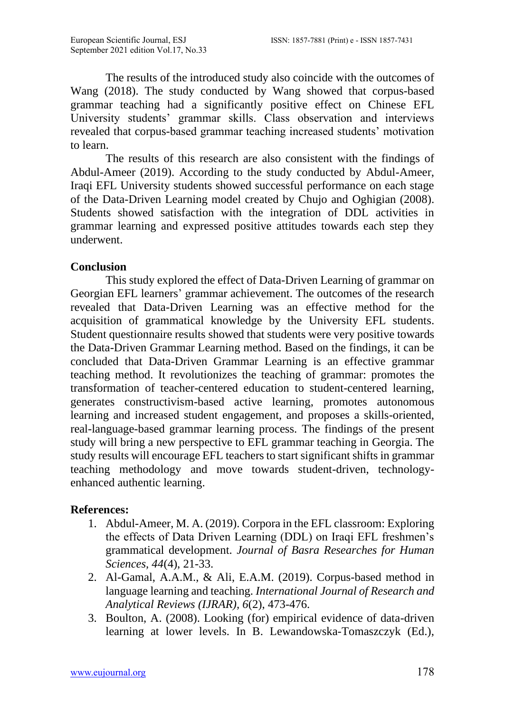The results of the introduced study also coincide with the outcomes of Wang (2018). The study conducted by Wang showed that corpus-based grammar teaching had a significantly positive effect on Chinese EFL University students' grammar skills. Class observation and interviews revealed that corpus-based grammar teaching increased students' motivation to learn.

The results of this research are also consistent with the findings of Abdul-Ameer (2019). According to the study conducted by Abdul-Ameer, Iraqi EFL University students showed successful performance on each stage of the Data-Driven Learning model created by Chujo and Oghigian (2008). Students showed satisfaction with the integration of DDL activities in grammar learning and expressed positive attitudes towards each step they underwent.

## **Conclusion**

This study explored the effect of Data-Driven Learning of grammar on Georgian EFL learners' grammar achievement. The outcomes of the research revealed that Data-Driven Learning was an effective method for the acquisition of grammatical knowledge by the University EFL students. Student questionnaire results showed that students were very positive towards the Data-Driven Grammar Learning method. Based on the findings, it can be concluded that Data-Driven Grammar Learning is an effective grammar teaching method. It revolutionizes the teaching of grammar: promotes the transformation of teacher-centered education to student-centered learning, generates constructivism-based active learning, promotes autonomous learning and increased student engagement, and proposes a skills-oriented, real-language-based grammar learning process. The findings of the present study will bring a new perspective to EFL grammar teaching in Georgia. The study results will encourage EFL teachers to start significant shifts in grammar teaching methodology and move towards student-driven, technologyenhanced authentic learning.

## **References:**

- 1. Abdul-Ameer, M. A. (2019). Corpora in the EFL classroom: Exploring the effects of Data Driven Learning (DDL) on Iraqi EFL freshmen's grammatical development. *Journal of Basra Researches for Human Sciences, 44*(4), 21-33.
- 2. Al-Gamal, A.A.M., & Ali, E.A.M. (2019). Corpus-based method in language learning and teaching. *International Journal of Research and Analytical Reviews (IJRAR), 6*(2), 473-476.
- 3. Boulton, A. (2008). Looking (for) empirical evidence of data-driven learning at lower levels. In B. Lewandowska-Tomaszczyk (Ed.),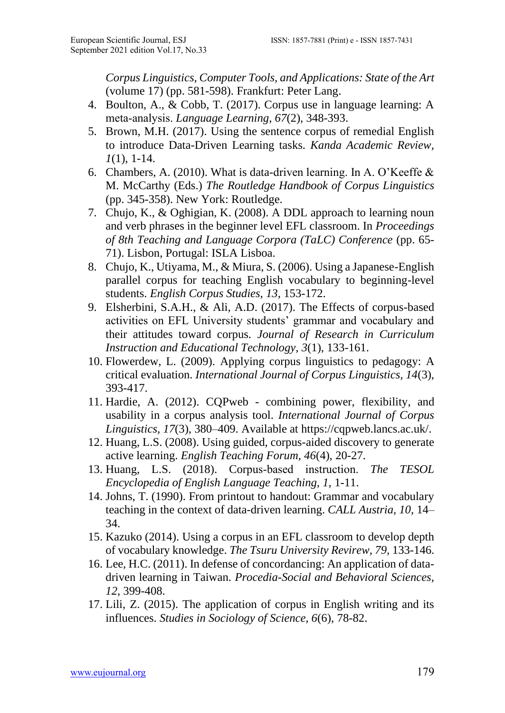*Corpus Linguistics, Computer Tools, and Applications: State of the Art* (volume 17) (pp. 581-598). Frankfurt: Peter Lang.

- 4. Boulton, A., & Cobb, T. (2017). Corpus use in language learning: A meta‐analysis. *Language Learning, 67*(2), 348-393.
- 5. Brown, M.H. (2017). Using the sentence corpus of remedial English to introduce Data-Driven Learning tasks. *Kanda Academic Review, 1*(1), 1-14.
- 6. Chambers, A. (2010). What is data-driven learning. In A. O'Keeffe & M. McCarthy (Eds.) *The Routledge Handbook of Corpus Linguistics* (pp. 345-358). New York: Routledge.
- 7. Chujo, K., & Oghigian, K. (2008). A DDL approach to learning noun and verb phrases in the beginner level EFL classroom. In *Proceedings of 8th Teaching and Language Corpora (TaLC) Conference* (pp. 65- 71). Lisbon, Portugal: ISLA Lisboa.
- 8. Chujo, K., Utiyama, M., & Miura, S. (2006). Using a Japanese-English parallel corpus for teaching English vocabulary to beginning-level students. *English Corpus Studies, 13,* 153-172.
- 9. Elsherbini, S.A.H., & Ali, A.D. (2017). The Effects of corpus-based activities on EFL University students' grammar and vocabulary and their attitudes toward corpus. *Journal of Research in Curriculum Instruction and Educational Technology, 3*(1), 133-161.
- 10. Flowerdew, L. (2009). Applying corpus linguistics to pedagogy: A critical evaluation. *International Journal of Corpus Linguistics, 14*(3), 393-417.
- 11. Hardie, A. (2012). CQPweb combining power, flexibility, and usability in a corpus analysis tool. *International Journal of Corpus Linguistics, 17*(3), 380–409. Available at [https://cqpweb.lancs.ac.uk/.](https://cqpweb.lancs.ac.uk/)
- 12. Huang, L.S. (2008). Using guided, corpus-aided discovery to generate active learning. *English Teaching Forum, 46*(4), 20-27.
- 13. Huang, L.S. (2018). Corpus‐based instruction. *The TESOL Encyclopedia of English Language Teaching, 1,* 1-11.
- 14. Johns, T. (1990). From printout to handout: Grammar and vocabulary teaching in the context of data-driven learning. *CALL Austria, 10,* 14– 34.
- 15. Kazuko (2014). Using a corpus in an EFL classroom to develop depth of vocabulary knowledge. *The Tsuru University Revirew, 79,* 133-146.
- 16. Lee, H.C. (2011). In defense of concordancing: An application of datadriven learning in Taiwan. *Procedia-Social and Behavioral Sciences, 12,* 399-408.
- 17. Lili, Z. (2015). The application of corpus in English writing and its influences. *Studies in Sociology of Science, 6*(6), 78-82.